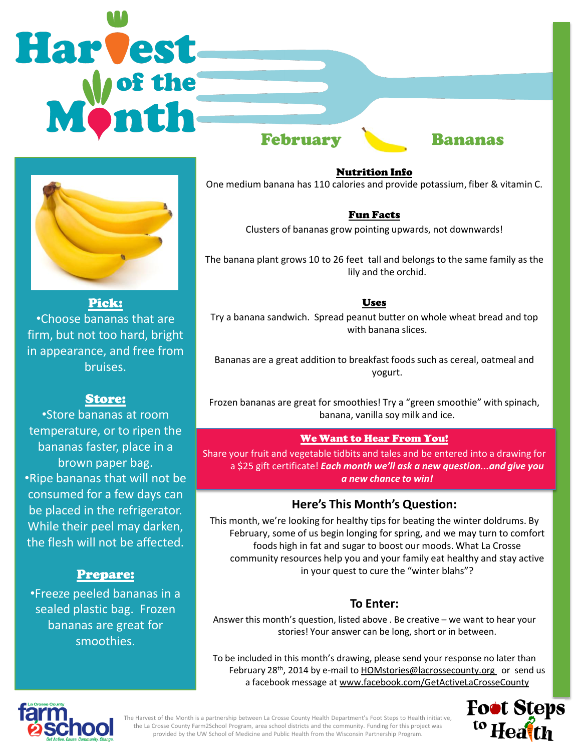# **Harvest** February Bananas



Pick: •Choose bananas that are firm, but not too hard, bright in appearance, and free from bruises.

# Store:

•Store bananas at room temperature, or to ripen the bananas faster, place in a brown paper bag. •Ripe bananas that will not be consumed for a few days can be placed in the refrigerator. While their peel may darken, the flesh will not be affected.

# Prepare:

•Freeze peeled bananas in a sealed plastic bag. Frozen bananas are great for smoothies.

Nutrition Info One medium banana has 110 calories and provide potassium, fiber & vitamin C.

## Fun Facts

Clusters of bananas grow pointing upwards, not downwards!

The banana plant grows 10 to 26 feet tall and belongs to the same family as the lily and the orchid.

## Uses

Try a banana sandwich. Spread peanut butter on whole wheat bread and top with banana slices.

Bananas are a great addition to breakfast foods such as cereal, oatmeal and yogurt.

Frozen bananas are great for smoothies! Try a "green smoothie" with spinach, banana, vanilla soy milk and ice.

# We Want to Hear From You!

Share your fruit and vegetable tidbits and tales and be entered into a drawing for a \$25 gift certificate! *Each month we'll ask a new question...and give you a new chance to win!* 

# **Here's This Month's Question:**

This month, we're looking for healthy tips for beating the winter doldrums. By February, some of us begin longing for spring, and we may turn to comfort foods high in fat and sugar to boost our moods. What La Crosse community resources help you and your family eat healthy and stay active in your quest to cure the "winter blahs"?

# **To Enter:**

Answer this month's question, listed above . Be creative – we want to hear your stories! Your answer can be long, short or in between.

To be included in this month's drawing, please send your response no later than February 28<sup>th</sup>, 2014 by e-mail to HOMstories@lacrossecounty.org or send us a facebook message at www.facebook.com/GetActiveLaCrosseCounty





The Harvest of the Month is a partnership between La Crosse County Health Department's Foot Steps to Health initiative, the La Crosse County Farm2School Program, area school districts and the community. Funding for this project was provided by the UW School of Medicine and Public Health from the Wisconsin Partnership Program.